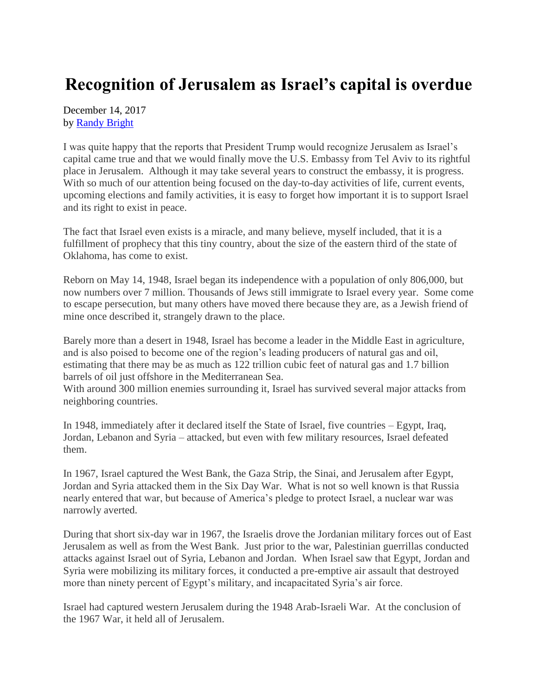## **Recognition of Jerusalem as Israel's capital is overdue**

December 14, 2017 by [Randy Bright](http://tulsabeacon.com/writers/randy-bright/)

I was quite happy that the reports that President Trump would recognize Jerusalem as Israel's capital came true and that we would finally move the U.S. Embassy from Tel Aviv to its rightful place in Jerusalem. Although it may take several years to construct the embassy, it is progress. With so much of our attention being focused on the day-to-day activities of life, current events, upcoming elections and family activities, it is easy to forget how important it is to support Israel and its right to exist in peace.

The fact that Israel even exists is a miracle, and many believe, myself included, that it is a fulfillment of prophecy that this tiny country, about the size of the eastern third of the state of Oklahoma, has come to exist.

Reborn on May 14, 1948, Israel began its independence with a population of only 806,000, but now numbers over 7 million. Thousands of Jews still immigrate to Israel every year. Some come to escape persecution, but many others have moved there because they are, as a Jewish friend of mine once described it, strangely drawn to the place.

Barely more than a desert in 1948, Israel has become a leader in the Middle East in agriculture, and is also poised to become one of the region's leading producers of natural gas and oil, estimating that there may be as much as 122 trillion cubic feet of natural gas and 1.7 billion barrels of oil just offshore in the Mediterranean Sea.

With around 300 million enemies surrounding it, Israel has survived several major attacks from neighboring countries.

In 1948, immediately after it declared itself the State of Israel, five countries – Egypt, Iraq, Jordan, Lebanon and Syria – attacked, but even with few military resources, Israel defeated them.

In 1967, Israel captured the West Bank, the Gaza Strip, the Sinai, and Jerusalem after Egypt, Jordan and Syria attacked them in the Six Day War. What is not so well known is that Russia nearly entered that war, but because of America's pledge to protect Israel, a nuclear war was narrowly averted.

During that short six-day war in 1967, the Israelis drove the Jordanian military forces out of East Jerusalem as well as from the West Bank. Just prior to the war, Palestinian guerrillas conducted attacks against Israel out of Syria, Lebanon and Jordan. When Israel saw that Egypt, Jordan and Syria were mobilizing its military forces, it conducted a pre-emptive air assault that destroyed more than ninety percent of Egypt's military, and incapacitated Syria's air force.

Israel had captured western Jerusalem during the 1948 Arab-Israeli War. At the conclusion of the 1967 War, it held all of Jerusalem.